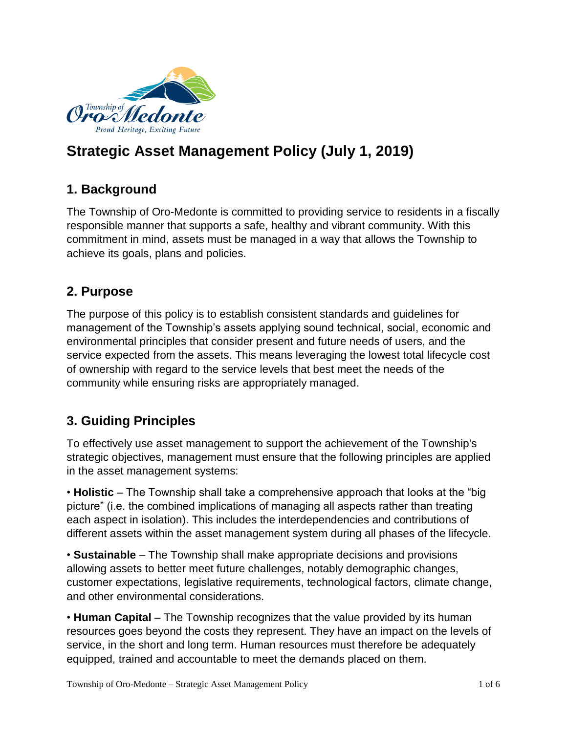

# **Strategic Asset Management Policy (July 1, 2019)**

# **1. Background**

The Township of Oro-Medonte is committed to providing service to residents in a fiscally responsible manner that supports a safe, healthy and vibrant community. With this commitment in mind, assets must be managed in a way that allows the Township to achieve its goals, plans and policies.

# **2. Purpose**

The purpose of this policy is to establish consistent standards and guidelines for management of the Township's assets applying sound technical, social, economic and environmental principles that consider present and future needs of users, and the service expected from the assets. This means leveraging the lowest total lifecycle cost of ownership with regard to the service levels that best meet the needs of the community while ensuring risks are appropriately managed.

# **3. Guiding Principles**

To effectively use asset management to support the achievement of the Township's strategic objectives, management must ensure that the following principles are applied in the asset management systems:

• **Holistic** – The Township shall take a comprehensive approach that looks at the "big picture" (i.e. the combined implications of managing all aspects rather than treating each aspect in isolation). This includes the interdependencies and contributions of different assets within the asset management system during all phases of the lifecycle.

• **Sustainable** – The Township shall make appropriate decisions and provisions allowing assets to better meet future challenges, notably demographic changes, customer expectations, legislative requirements, technological factors, climate change, and other environmental considerations.

• **Human Capital** – The Township recognizes that the value provided by its human resources goes beyond the costs they represent. They have an impact on the levels of service, in the short and long term. Human resources must therefore be adequately equipped, trained and accountable to meet the demands placed on them.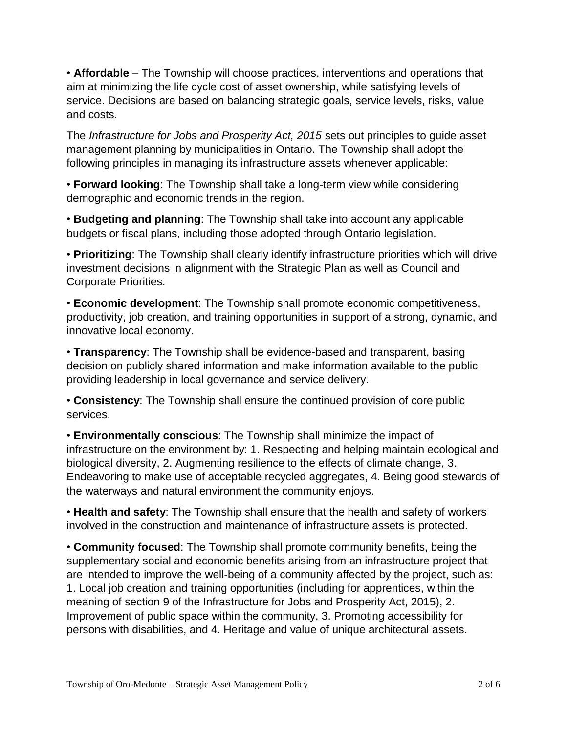• **Affordable** – The Township will choose practices, interventions and operations that aim at minimizing the life cycle cost of asset ownership, while satisfying levels of service. Decisions are based on balancing strategic goals, service levels, risks, value and costs.

The *Infrastructure for Jobs and Prosperity Act, 2015* sets out principles to guide asset management planning by municipalities in Ontario. The Township shall adopt the following principles in managing its infrastructure assets whenever applicable:

• **Forward looking**: The Township shall take a long-term view while considering demographic and economic trends in the region.

• **Budgeting and planning**: The Township shall take into account any applicable budgets or fiscal plans, including those adopted through Ontario legislation.

• **Prioritizing**: The Township shall clearly identify infrastructure priorities which will drive investment decisions in alignment with the Strategic Plan as well as Council and Corporate Priorities.

• **Economic development**: The Township shall promote economic competitiveness, productivity, job creation, and training opportunities in support of a strong, dynamic, and innovative local economy.

• **Transparency**: The Township shall be evidence-based and transparent, basing decision on publicly shared information and make information available to the public providing leadership in local governance and service delivery.

• **Consistency**: The Township shall ensure the continued provision of core public services.

• **Environmentally conscious**: The Township shall minimize the impact of infrastructure on the environment by: 1. Respecting and helping maintain ecological and biological diversity, 2. Augmenting resilience to the effects of climate change, 3. Endeavoring to make use of acceptable recycled aggregates, 4. Being good stewards of the waterways and natural environment the community enjoys.

• **Health and safety**: The Township shall ensure that the health and safety of workers involved in the construction and maintenance of infrastructure assets is protected.

• **Community focused**: The Township shall promote community benefits, being the supplementary social and economic benefits arising from an infrastructure project that are intended to improve the well-being of a community affected by the project, such as: 1. Local job creation and training opportunities (including for apprentices, within the meaning of section 9 of the Infrastructure for Jobs and Prosperity Act, 2015), 2. Improvement of public space within the community, 3. Promoting accessibility for persons with disabilities, and 4. Heritage and value of unique architectural assets.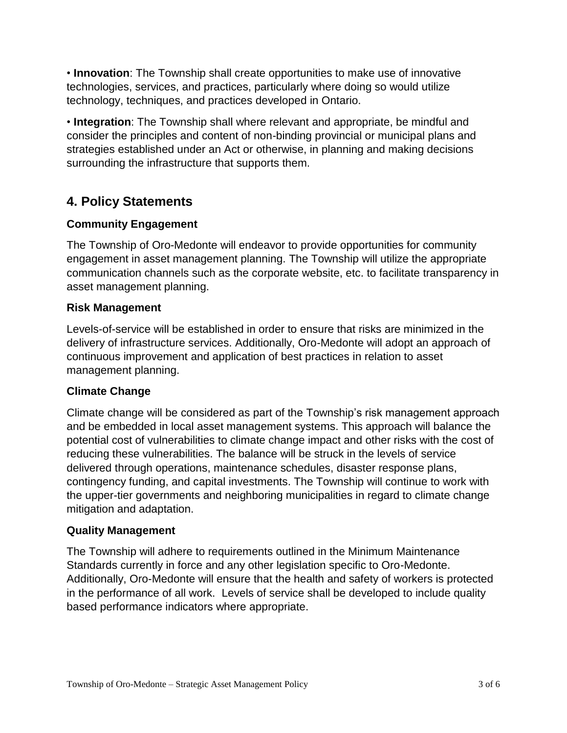• **Innovation**: The Township shall create opportunities to make use of innovative technologies, services, and practices, particularly where doing so would utilize technology, techniques, and practices developed in Ontario.

• **Integration**: The Township shall where relevant and appropriate, be mindful and consider the principles and content of non-binding provincial or municipal plans and strategies established under an Act or otherwise, in planning and making decisions surrounding the infrastructure that supports them.

# **4. Policy Statements**

### **Community Engagement**

The Township of Oro-Medonte will endeavor to provide opportunities for community engagement in asset management planning. The Township will utilize the appropriate communication channels such as the corporate website, etc. to facilitate transparency in asset management planning.

#### **Risk Management**

Levels-of-service will be established in order to ensure that risks are minimized in the delivery of infrastructure services. Additionally, Oro-Medonte will adopt an approach of continuous improvement and application of best practices in relation to asset management planning.

### **Climate Change**

Climate change will be considered as part of the Township's risk management approach and be embedded in local asset management systems. This approach will balance the potential cost of vulnerabilities to climate change impact and other risks with the cost of reducing these vulnerabilities. The balance will be struck in the levels of service delivered through operations, maintenance schedules, disaster response plans, contingency funding, and capital investments. The Township will continue to work with the upper-tier governments and neighboring municipalities in regard to climate change mitigation and adaptation.

#### **Quality Management**

The Township will adhere to requirements outlined in the Minimum Maintenance Standards currently in force and any other legislation specific to Oro-Medonte. Additionally, Oro-Medonte will ensure that the health and safety of workers is protected in the performance of all work. Levels of service shall be developed to include quality based performance indicators where appropriate.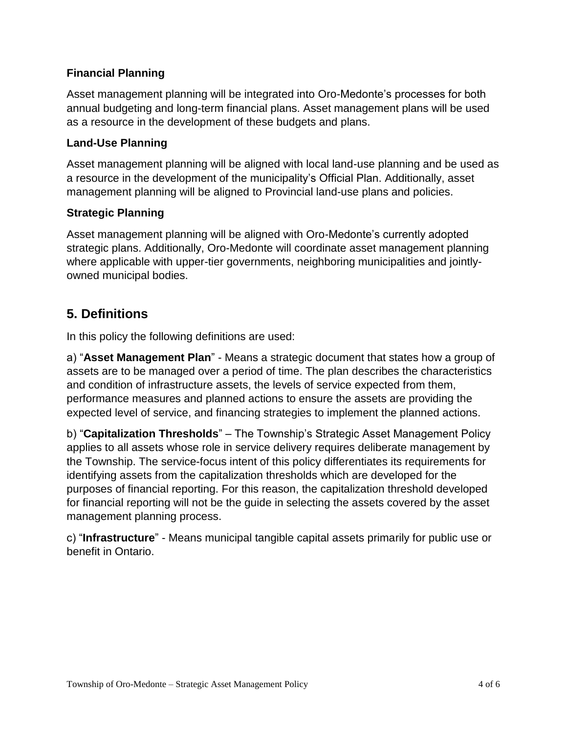### **Financial Planning**

Asset management planning will be integrated into Oro-Medonte's processes for both annual budgeting and long-term financial plans. Asset management plans will be used as a resource in the development of these budgets and plans.

#### **Land-Use Planning**

Asset management planning will be aligned with local land-use planning and be used as a resource in the development of the municipality's Official Plan. Additionally, asset management planning will be aligned to Provincial land-use plans and policies.

#### **Strategic Planning**

Asset management planning will be aligned with Oro-Medonte's currently adopted strategic plans. Additionally, Oro-Medonte will coordinate asset management planning where applicable with upper-tier governments, neighboring municipalities and jointlyowned municipal bodies.

## **5. Definitions**

In this policy the following definitions are used:

a) "**Asset Management Plan**" - Means a strategic document that states how a group of assets are to be managed over a period of time. The plan describes the characteristics and condition of infrastructure assets, the levels of service expected from them, performance measures and planned actions to ensure the assets are providing the expected level of service, and financing strategies to implement the planned actions.

b) "**Capitalization Thresholds**" – The Township's Strategic Asset Management Policy applies to all assets whose role in service delivery requires deliberate management by the Township. The service-focus intent of this policy differentiates its requirements for identifying assets from the capitalization thresholds which are developed for the purposes of financial reporting. For this reason, the capitalization threshold developed for financial reporting will not be the guide in selecting the assets covered by the asset management planning process.

c) "**Infrastructure**" - Means municipal tangible capital assets primarily for public use or benefit in Ontario.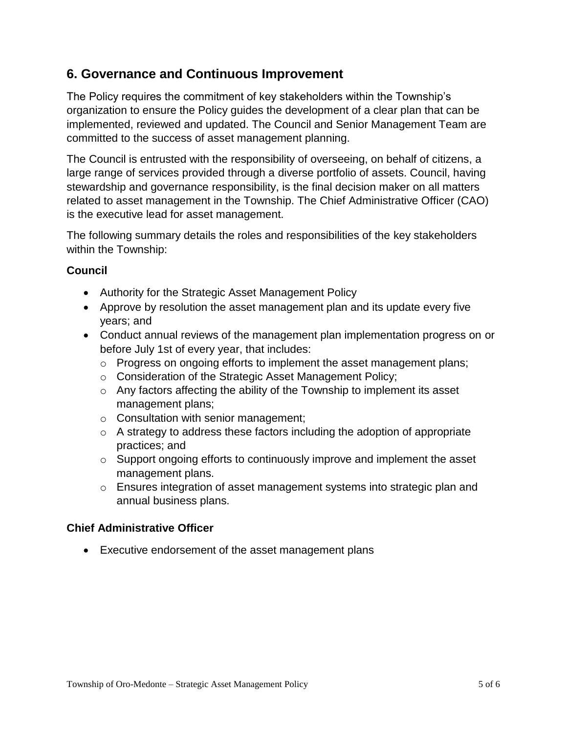### **6. Governance and Continuous Improvement**

The Policy requires the commitment of key stakeholders within the Township's organization to ensure the Policy guides the development of a clear plan that can be implemented, reviewed and updated. The Council and Senior Management Team are committed to the success of asset management planning.

The Council is entrusted with the responsibility of overseeing, on behalf of citizens, a large range of services provided through a diverse portfolio of assets. Council, having stewardship and governance responsibility, is the final decision maker on all matters related to asset management in the Township. The Chief Administrative Officer (CAO) is the executive lead for asset management.

The following summary details the roles and responsibilities of the key stakeholders within the Township:

### **Council**

- Authority for the Strategic Asset Management Policy
- Approve by resolution the asset management plan and its update every five years; and
- Conduct annual reviews of the management plan implementation progress on or before July 1st of every year, that includes:
	- o Progress on ongoing efforts to implement the asset management plans;
	- o Consideration of the Strategic Asset Management Policy;
	- o Any factors affecting the ability of the Township to implement its asset management plans;
	- o Consultation with senior management;
	- o A strategy to address these factors including the adoption of appropriate practices; and
	- $\circ$  Support ongoing efforts to continuously improve and implement the asset management plans.
	- o Ensures integration of asset management systems into strategic plan and annual business plans.

### **Chief Administrative Officer**

Executive endorsement of the asset management plans